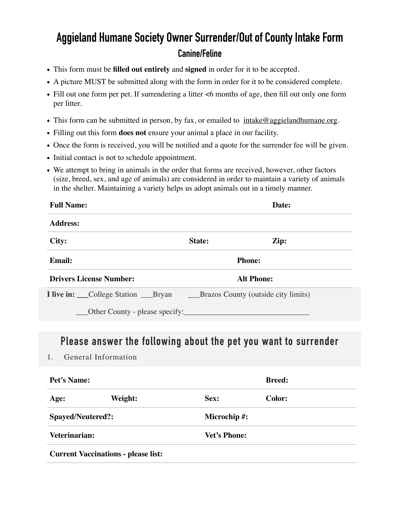# **Aggieland Humane Society Owner Surrender/Out of County Intake Form Canine/Feline**

- This form must be **filled out entirely** and **signed** in order for it to be accepted.
- A picture MUST be submitted along with the form in order for it to be considered complete.
- Fill out one form per pet. If surrendering a litter  $\leq 6$  months of age, then fill out only one form per litter.
- This form can be submitted in person, by fax, or emailed to  $intake@aggielandhumane.org$ .
- Filling out this form **does not** ensure your animal a place in our facility.
- Once the form is received, you will be notified and a quote for the surrender fee will be given.
- Initial contact is not to schedule appointment.
- We attempt to bring in animals in the order that forms are received, however, other factors (size, breed, sex, and age of animals) are considered in order to maintain a variety of animals in the shelter. Maintaining a variety helps us adopt animals out in a timely manner.

| <b>Full Name:</b>                                                                    |                   | Date: |
|--------------------------------------------------------------------------------------|-------------------|-------|
| <b>Address:</b>                                                                      |                   |       |
| City:                                                                                | State:            | Zip:  |
| <b>Email:</b>                                                                        | <b>Phone:</b>     |       |
| <b>Drivers License Number:</b>                                                       | <b>Alt Phone:</b> |       |
| <b>I live in:</b> College Station ______Bryan<br>Brazos County (outside city limits) |                   |       |
| Other County - please specify:                                                       |                   |       |

### **Please answer the following about the pet you want to surrender**

1. General Information

| Pet's Name:              |                                            |                     | <b>Breed:</b> |  |
|--------------------------|--------------------------------------------|---------------------|---------------|--|
| Age:                     | Weight:                                    | Sex:                | <b>Color:</b> |  |
| <b>Spayed/Neutered?:</b> |                                            | <b>Microchip#:</b>  |               |  |
| Veterinarian:            |                                            | <b>Vet's Phone:</b> |               |  |
|                          | <b>Current Vaccinations - please list:</b> |                     |               |  |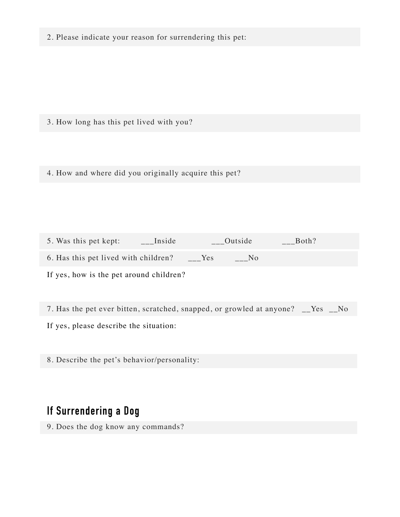2. Please indicate your reason for surrendering this pet:

3. How long has this pet lived with you?

4. How and where did you originally acquire this pet?

5. Was this pet kept: \_\_\_Inside \_\_\_Outside \_\_\_Both? 6. Has this pet lived with children?  $\qquad \qquad _{-}$ Yes  $\qquad \qquad _{-}$ No

If yes, how is the pet around children?

7. Has the pet ever bitten, scratched, snapped, or growled at anyone? \_\_Yes \_\_No

If yes, please describe the situation:

8. Describe the pet's behavior/personality:

## **If Surrendering a Dog**

9. Does the dog know any commands?